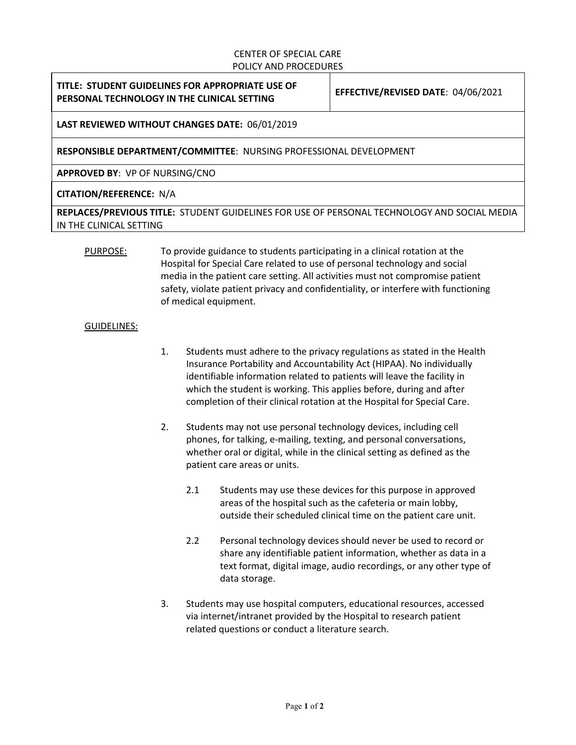#### CENTER OF SPECIAL CARE POLICY AND PROCEDURES

## **TITLE: STUDENT GUIDELINES FOR APPROPRIATE USE OF PERSONAL TECHNOLOGY IN THE CLINICAL SETTING EFFECTIVE/REVISED DATE**: 04/06/2021

# **LAST REVIEWED WITHOUT CHANGES DATE:** 06/01/2019

## **RESPONSIBLE DEPARTMENT/COMMITTEE**: NURSING PROFESSIONAL DEVELOPMENT

**APPROVED BY**: VP OF NURSING/CNO

## **CITATION/REFERENCE:** N/A

**REPLACES/PREVIOUS TITLE:** STUDENT GUIDELINES FOR USE OF PERSONAL TECHNOLOGY AND SOCIAL MEDIA IN THE CLINICAL SETTING

PURPOSE: To provide guidance to students participating in a clinical rotation at the Hospital for Special Care related to use of personal technology and social media in the patient care setting. All activities must not compromise patient safety, violate patient privacy and confidentiality, or interfere with functioning of medical equipment.

#### GUIDELINES:

- 1. Students must adhere to the privacy regulations as stated in the Health Insurance Portability and Accountability Act (HIPAA). No individually identifiable information related to patients will leave the facility in which the student is working. This applies before, during and after completion of their clinical rotation at the Hospital for Special Care.
- 2. Students may not use personal technology devices, including cell phones, for talking, e-mailing, texting, and personal conversations, whether oral or digital, while in the clinical setting as defined as the patient care areas or units.
	- 2.1 Students may use these devices for this purpose in approved areas of the hospital such as the cafeteria or main lobby, outside their scheduled clinical time on the patient care unit.
	- 2.2 Personal technology devices should never be used to record or share any identifiable patient information, whether as data in a text format, digital image, audio recordings, or any other type of data storage.
- 3. Students may use hospital computers, educational resources, accessed via internet/intranet provided by the Hospital to research patient related questions or conduct a literature search.